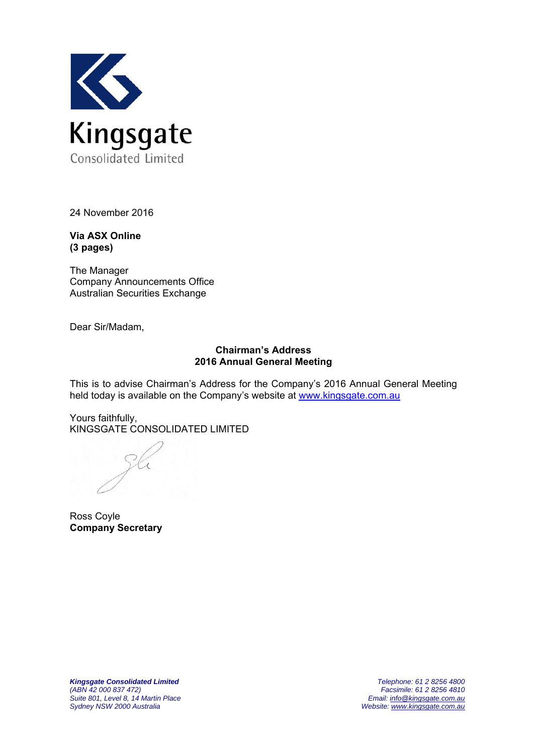

24 November 2016

**Via ASX Online (3 pages)** 

The Manager Company Announcements Office Australian Securities Exchange

Dear Sir/Madam,

## **Chairman's Address 2016 Annual General Meeting**

This is to advise Chairman's Address for the Company's 2016 Annual General Meeting held today is available on the Company's website at www.kingsgate.com.au

Yours faithfully, KINGSGATE CONSOLIDATED LIMITED

K

Ross Coyle **Company Secretary**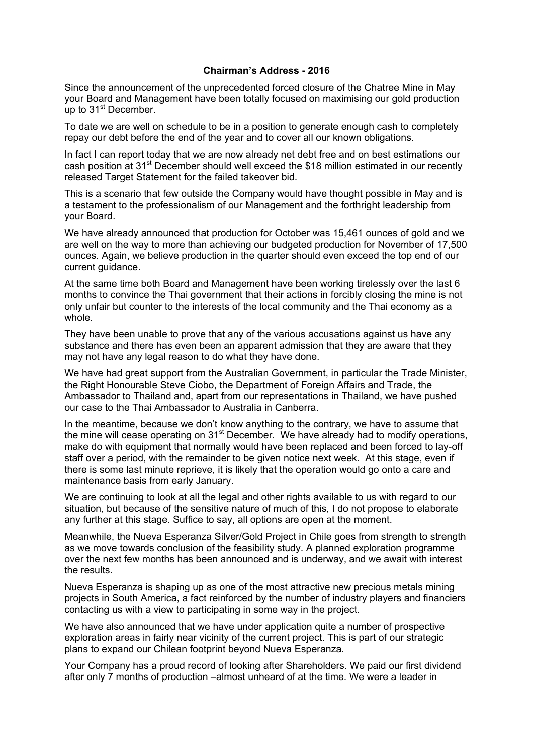## **Chairman's Address - 2016**

Since the announcement of the unprecedented forced closure of the Chatree Mine in May your Board and Management have been totally focused on maximising our gold production up to  $31<sup>st</sup>$  December.

To date we are well on schedule to be in a position to generate enough cash to completely repay our debt before the end of the year and to cover all our known obligations.

In fact I can report today that we are now already net debt free and on best estimations our cash position at 31<sup>st</sup> December should well exceed the \$18 million estimated in our recently released Target Statement for the failed takeover bid.

This is a scenario that few outside the Company would have thought possible in May and is a testament to the professionalism of our Management and the forthright leadership from your Board.

We have already announced that production for October was 15,461 ounces of gold and we are well on the way to more than achieving our budgeted production for November of 17,500 ounces. Again, we believe production in the quarter should even exceed the top end of our current guidance.

At the same time both Board and Management have been working tirelessly over the last 6 months to convince the Thai government that their actions in forcibly closing the mine is not only unfair but counter to the interests of the local community and the Thai economy as a whole.

They have been unable to prove that any of the various accusations against us have any substance and there has even been an apparent admission that they are aware that they may not have any legal reason to do what they have done.

We have had great support from the Australian Government, in particular the Trade Minister, the Right Honourable Steve Ciobo, the Department of Foreign Affairs and Trade, the Ambassador to Thailand and, apart from our representations in Thailand, we have pushed our case to the Thai Ambassador to Australia in Canberra.

In the meantime, because we don't know anything to the contrary, we have to assume that the mine will cease operating on  $31<sup>st</sup>$  December. We have already had to modify operations, make do with equipment that normally would have been replaced and been forced to lay-off staff over a period, with the remainder to be given notice next week. At this stage, even if there is some last minute reprieve, it is likely that the operation would go onto a care and maintenance basis from early January.

We are continuing to look at all the legal and other rights available to us with regard to our situation, but because of the sensitive nature of much of this, I do not propose to elaborate any further at this stage. Suffice to say, all options are open at the moment.

Meanwhile, the Nueva Esperanza Silver/Gold Project in Chile goes from strength to strength as we move towards conclusion of the feasibility study. A planned exploration programme over the next few months has been announced and is underway, and we await with interest the results.

Nueva Esperanza is shaping up as one of the most attractive new precious metals mining projects in South America, a fact reinforced by the number of industry players and financiers contacting us with a view to participating in some way in the project.

We have also announced that we have under application quite a number of prospective exploration areas in fairly near vicinity of the current project. This is part of our strategic plans to expand our Chilean footprint beyond Nueva Esperanza.

Your Company has a proud record of looking after Shareholders. We paid our first dividend after only 7 months of production –almost unheard of at the time. We were a leader in